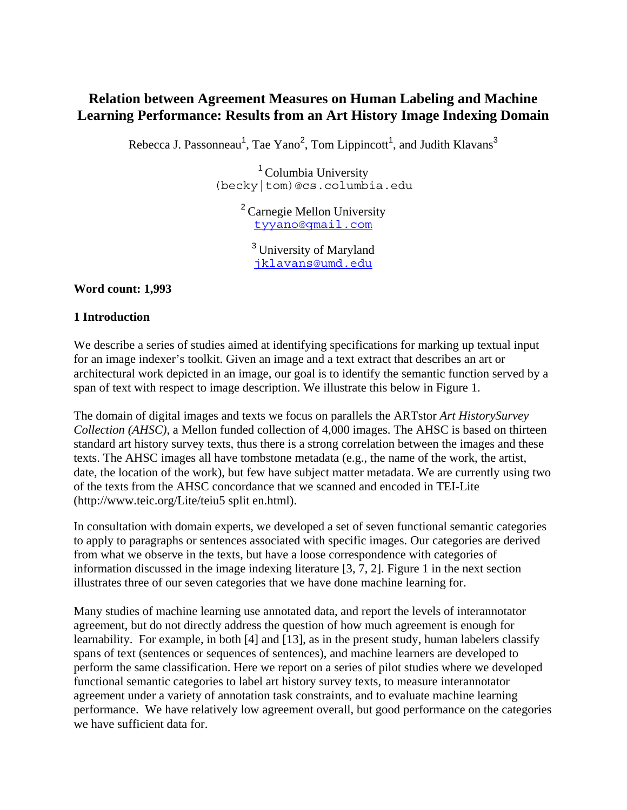# **Relation between Agreement Measures on Human Labeling and Machine Learning Performance: Results from an Art History Image Indexing Domain**

Rebecca J. Passonneau<sup>1</sup>, Tae Yano<sup>2</sup>, Tom Lippincott<sup>1</sup>, and Judith Klavans<sup>3</sup>

<sup>1</sup> Columbia University (becky|tom)@cs.columbia.edu

> <sup>2</sup> Carnegie Mellon University [tyyano@gmail.com](mailto:tyyano@gmail.com)

<sup>3</sup> University of Maryland [jklavans@umd.edu](mailto:jklavans@umd.edu)

**Word count: 1,993** 

#### **1 Introduction**

We describe a series of studies aimed at identifying specifications for marking up textual input for an image indexer's toolkit. Given an image and a text extract that describes an art or architectural work depicted in an image, our goal is to identify the semantic function served by a span of text with respect to image description. We illustrate this below in Figure 1.

The domain of digital images and texts we focus on parallels the ARTstor *Art HistorySurvey Collection (AHSC)*, a Mellon funded collection of 4,000 images. The AHSC is based on thirteen standard art history survey texts, thus there is a strong correlation between the images and these texts. The AHSC images all have tombstone metadata (e.g., the name of the work, the artist, date, the location of the work), but few have subject matter metadata. We are currently using two of the texts from the AHSC concordance that we scanned and encoded in TEI-Lite (http://www.teic.org/Lite/teiu5 split en.html).

In consultation with domain experts, we developed a set of seven functional semantic categories to apply to paragraphs or sentences associated with specific images. Our categories are derived from what we observe in the texts, but have a loose correspondence with categories of information discussed in the image indexing literature [3, 7, 2]. Figure 1 in the next section illustrates three of our seven categories that we have done machine learning for.

Many studies of machine learning use annotated data, and report the levels of interannotator agreement, but do not directly address the question of how much agreement is enough for learnability. For example, in both [4] and [13], as in the present study, human labelers classify spans of text (sentences or sequences of sentences), and machine learners are developed to perform the same classification. Here we report on a series of pilot studies where we developed functional semantic categories to label art history survey texts, to measure interannotator agreement under a variety of annotation task constraints, and to evaluate machine learning performance. We have relatively low agreement overall, but good performance on the categories we have sufficient data for.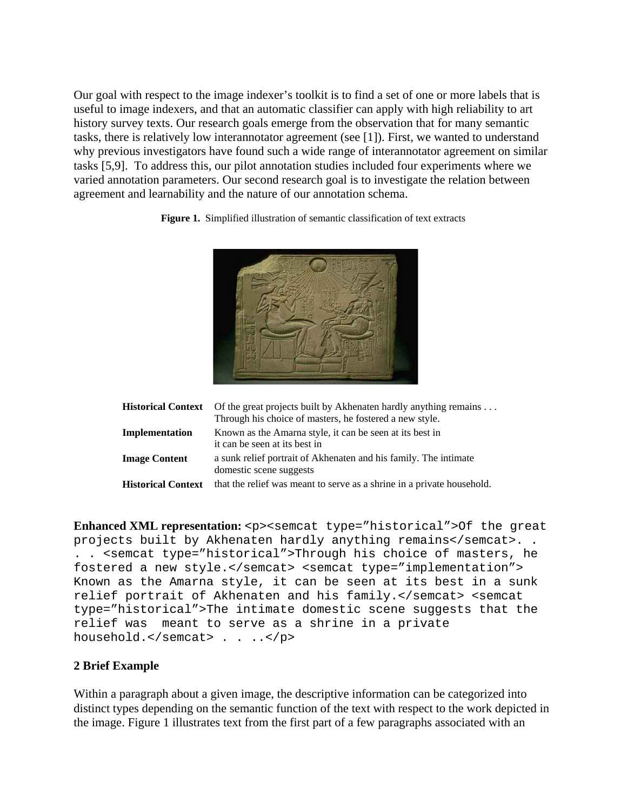Our goal with respect to the image indexer's toolkit is to find a set of one or more labels that is useful to image indexers, and that an automatic classifier can apply with high reliability to art history survey texts. Our research goals emerge from the observation that for many semantic tasks, there is relatively low interannotator agreement (see [1]). First, we wanted to understand why previous investigators have found such a wide range of interannotator agreement on similar tasks [5,9]. To address this, our pilot annotation studies included four experiments where we varied annotation parameters. Our second research goal is to investigate the relation between agreement and learnability and the nature of our annotation schema.



**Figure 1.** Simplified illustration of semantic classification of text extracts

| <b>Historical Context</b> | Of the great projects built by Akhenaten hardly anything remains<br>Through his choice of masters, he fostered a new style. |
|---------------------------|-----------------------------------------------------------------------------------------------------------------------------|
| Implementation            | Known as the Amarna style, it can be seen at its best in<br>it can be seen at its best in                                   |
| <b>Image Content</b>      | a sunk relief portrait of Akhenaten and his family. The intimate<br>domestic scene suggests                                 |
| <b>Historical Context</b> | that the relief was meant to serve as a shrine in a private household.                                                      |

**Enhanced XML representation:** <p><semcat type="historical">Of the great projects built by Akhenaten hardly anything remains</semcat>. . . . <semcat type="historical">Through his choice of masters, he fostered a new style.</semcat> <semcat type="implementation"> Known as the Amarna style, it can be seen at its best in a sunk relief portrait of Akhenaten and his family.</semcat> <semcat type="historical">The intimate domestic scene suggests that the relief was meant to serve as a shrine in a private household.</semcat> . . . .</p>

# **2 Brief Example**

Within a paragraph about a given image, the descriptive information can be categorized into distinct types depending on the semantic function of the text with respect to the work depicted in the image. Figure 1 illustrates text from the first part of a few paragraphs associated with an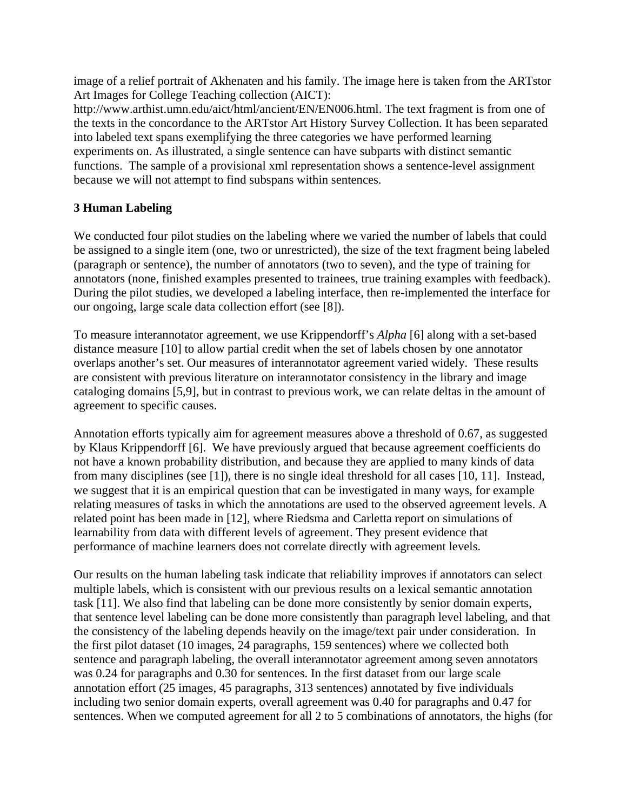image of a relief portrait of Akhenaten and his family. The image here is taken from the ARTstor Art Images for College Teaching collection (AICT):

http://www.arthist.umn.edu/aict/html/ancient/EN/EN006.html. The text fragment is from one of the texts in the concordance to the ARTstor Art History Survey Collection. It has been separated into labeled text spans exemplifying the three categories we have performed learning experiments on. As illustrated, a single sentence can have subparts with distinct semantic functions. The sample of a provisional xml representation shows a sentence-level assignment because we will not attempt to find subspans within sentences.

#### **3 Human Labeling**

We conducted four pilot studies on the labeling where we varied the number of labels that could be assigned to a single item (one, two or unrestricted), the size of the text fragment being labeled (paragraph or sentence), the number of annotators (two to seven), and the type of training for annotators (none, finished examples presented to trainees, true training examples with feedback). During the pilot studies, we developed a labeling interface, then re-implemented the interface for our ongoing, large scale data collection effort (see [8]).

To measure interannotator agreement, we use Krippendorff's *Alpha* [6] along with a set-based distance measure [10] to allow partial credit when the set of labels chosen by one annotator overlaps another's set. Our measures of interannotator agreement varied widely. These results are consistent with previous literature on interannotator consistency in the library and image cataloging domains [5,9], but in contrast to previous work, we can relate deltas in the amount of agreement to specific causes.

Annotation efforts typically aim for agreement measures above a threshold of 0.67, as suggested by Klaus Krippendorff [6]. We have previously argued that because agreement coefficients do not have a known probability distribution, and because they are applied to many kinds of data from many disciplines (see [1]), there is no single ideal threshold for all cases [10, 11]. Instead, we suggest that it is an empirical question that can be investigated in many ways, for example relating measures of tasks in which the annotations are used to the observed agreement levels. A related point has been made in [12], where Riedsma and Carletta report on simulations of learnability from data with different levels of agreement. They present evidence that performance of machine learners does not correlate directly with agreement levels.

Our results on the human labeling task indicate that reliability improves if annotators can select multiple labels, which is consistent with our previous results on a lexical semantic annotation task [11]. We also find that labeling can be done more consistently by senior domain experts, that sentence level labeling can be done more consistently than paragraph level labeling, and that the consistency of the labeling depends heavily on the image/text pair under consideration. In the first pilot dataset (10 images, 24 paragraphs, 159 sentences) where we collected both sentence and paragraph labeling, the overall interannotator agreement among seven annotators was 0.24 for paragraphs and 0.30 for sentences. In the first dataset from our large scale annotation effort (25 images, 45 paragraphs, 313 sentences) annotated by five individuals including two senior domain experts, overall agreement was 0.40 for paragraphs and 0.47 for sentences. When we computed agreement for all 2 to 5 combinations of annotators, the highs (for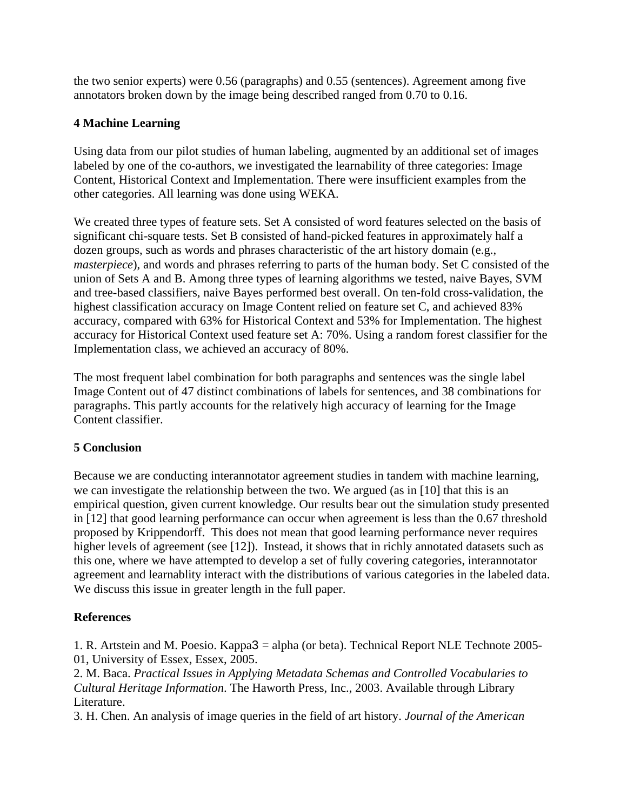the two senior experts) were 0.56 (paragraphs) and 0.55 (sentences). Agreement among five annotators broken down by the image being described ranged from 0.70 to 0.16.

# **4 Machine Learning**

Using data from our pilot studies of human labeling, augmented by an additional set of images labeled by one of the co-authors, we investigated the learnability of three categories: Image Content, Historical Context and Implementation. There were insufficient examples from the other categories. All learning was done using WEKA.

We created three types of feature sets. Set A consisted of word features selected on the basis of significant chi-square tests. Set B consisted of hand-picked features in approximately half a dozen groups, such as words and phrases characteristic of the art history domain (e.g., *masterpiece*), and words and phrases referring to parts of the human body. Set C consisted of the union of Sets A and B. Among three types of learning algorithms we tested, naive Bayes, SVM and tree-based classifiers, naive Bayes performed best overall. On ten-fold cross-validation, the highest classification accuracy on Image Content relied on feature set C, and achieved 83% accuracy, compared with 63% for Historical Context and 53% for Implementation. The highest accuracy for Historical Context used feature set A: 70%. Using a random forest classifier for the Implementation class, we achieved an accuracy of 80%.

The most frequent label combination for both paragraphs and sentences was the single label Image Content out of 47 distinct combinations of labels for sentences, and 38 combinations for paragraphs. This partly accounts for the relatively high accuracy of learning for the Image Content classifier.

# **5 Conclusion**

Because we are conducting interannotator agreement studies in tandem with machine learning, we can investigate the relationship between the two. We argued (as in [10] that this is an empirical question, given current knowledge. Our results bear out the simulation study presented in [12] that good learning performance can occur when agreement is less than the 0.67 threshold proposed by Krippendorff. This does not mean that good learning performance never requires higher levels of agreement (see [12]). Instead, it shows that in richly annotated datasets such as this one, where we have attempted to develop a set of fully covering categories, interannotator agreement and learnablity interact with the distributions of various categories in the labeled data. We discuss this issue in greater length in the full paper.

# **References**

1. R. Artstein and M. Poesio. Kappa3 = alpha (or beta). Technical Report NLE Technote 2005- 01, University of Essex, Essex, 2005.

2. M. Baca. *Practical Issues in Applying Metadata Schemas and Controlled Vocabularies to Cultural Heritage Information*. The Haworth Press, Inc., 2003. Available through Library Literature.

3. H. Chen. An analysis of image queries in the field of art history. *Journal of the American*